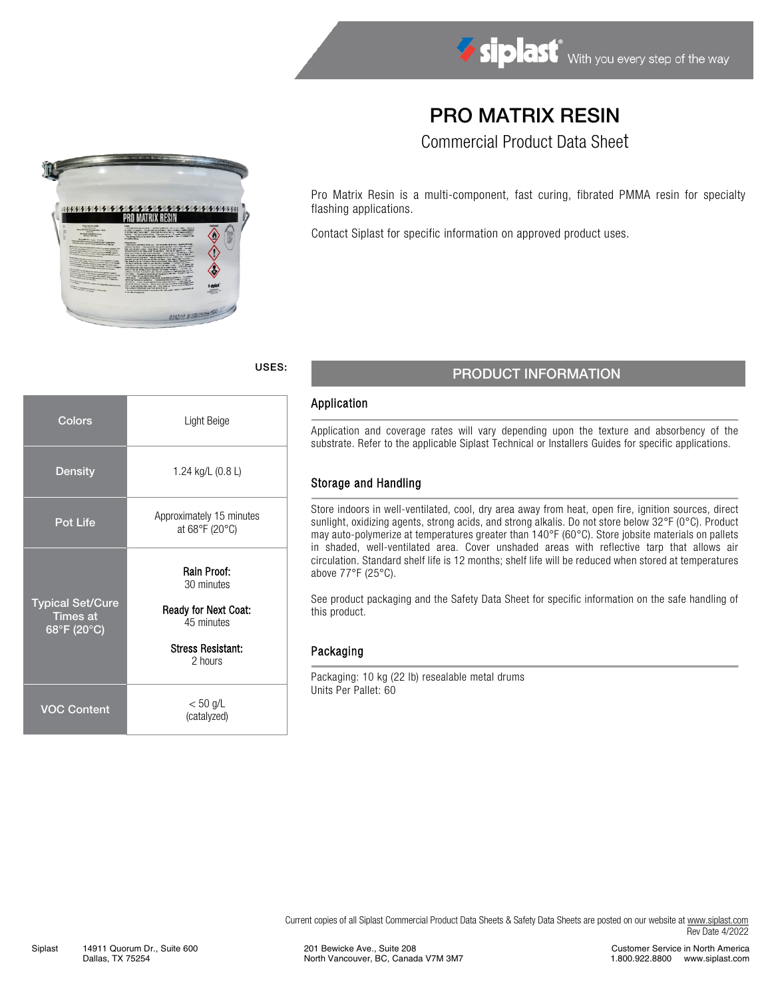# PRO MATRIX RESIN

Commercial Product Data Sheet

Pro Matrix Resin is a multi-component, fast curing, fibrated PMMA resin for specialty flashing applications.

Contact Siplast for specific information on approved product uses.

## USES: PRODUCT INFORMATION

#### Application

Application and coverage rates will vary depending upon the texture and absorbency of the substrate. Refer to the applicable Siplast Technical or Installers Guides for specific applications.

#### Storage and Handling

Store indoors in well-ventilated, cool, dry area away from heat, open fire, ignition sources, direct sunlight, oxidizing agents, strong acids, and strong alkalis. Do not store below 32°F (0°C). Product may auto-polymerize at temperatures greater than 140°F (60°C). Store jobsite materials on pallets in shaded, well-ventilated area. Cover unshaded areas with reflective tarp that allows air circulation. Standard shelf life is 12 months; shelf life will be reduced when stored at temperatures above 77°F (25°C).

See product packaging and the Safety Data Sheet for specific information on the safe handling of this product.

Current copies of all Siplast Commercial Product Data Sheets & Safety Data Sheets are posted on our website a[t www.siplast.com](http://www.siplast.com/)

#### Packaging

Packaging: 10 kg (22 lb) resealable metal drums Units Per Pallet: 60

Rev Date 4/2022



| Colors                                                    | Light Beige                                                                                                   |  |  |  |  |  |  |
|-----------------------------------------------------------|---------------------------------------------------------------------------------------------------------------|--|--|--|--|--|--|
| Density                                                   | 1.24 kg/L (0.8 L)                                                                                             |  |  |  |  |  |  |
| <b>Pot Life</b>                                           | Approximately 15 minutes<br>at 68°F (20°C)                                                                    |  |  |  |  |  |  |
| <b>Typical Set/Cure</b><br><b>Times at</b><br>68°F (20°C) | Rain Proof:<br>30 minutes<br><b>Ready for Next Coat:</b><br>45 minutes<br><b>Stress Resistant:</b><br>2 hours |  |  |  |  |  |  |
| <b>VOC Content</b>                                        | $< 50$ g/L<br>(catalyzed)                                                                                     |  |  |  |  |  |  |